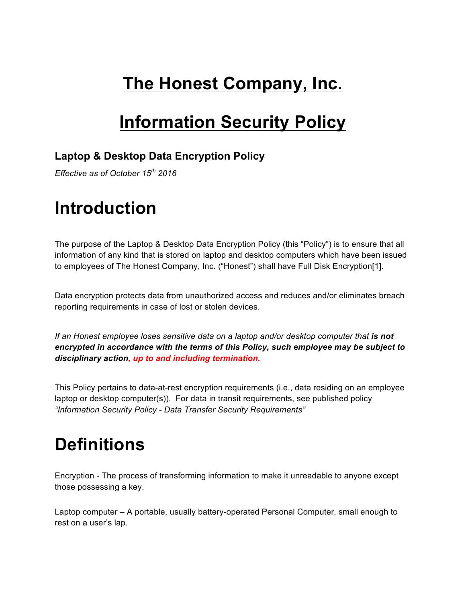### **The Honest Company, Inc.**

#### **Information Security Policy**

#### **Laptop & Desktop Data Encryption Policy**

*Effective as of October 15th 2016*

#### **Introduction**

The purpose of the Laptop & Desktop Data Encryption Policy (this "Policy") is to ensure that all information of any kind that is stored on laptop and desktop computers which have been issued to employees of The Honest Company, Inc. ("Honest") shall have Full Disk Encryption[1].

Data encryption protects data from unauthorized access and reduces and/or eliminates breach reporting requirements in case of lost or stolen devices.

*If an Honest employee loses sensitive data on a laptop and/or desktop computer that is not encrypted in accordance with the terms of this Policy, such employee may be subject to disciplinary action, up to and including termination.*

This Policy pertains to data-at-rest encryption requirements (i.e., data residing on an employee laptop or desktop computer(s)). For data in transit requirements, see published policy *"Information Security Policy - Data Transfer Security Requirements"*

### **Definitions**

Encryption - The process of transforming information to make it unreadable to anyone except those possessing a key.

Laptop computer – A portable, usually battery-operated Personal Computer, small enough to rest on a user's lap.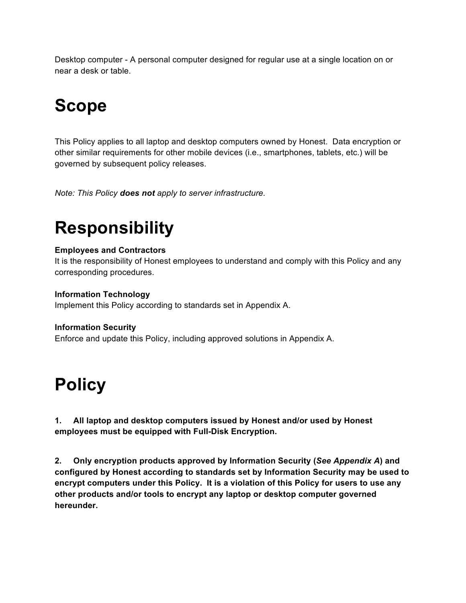Desktop computer - A personal computer designed for regular use at a single location on or near a desk or table.

## **Scope**

This Policy applies to all laptop and desktop computers owned by Honest. Data encryption or other similar requirements for other mobile devices (i.e., smartphones, tablets, etc.) will be governed by subsequent policy releases.

*Note: This Policy does not apply to server infrastructure.*

## **Responsibility**

#### **Employees and Contractors**

It is the responsibility of Honest employees to understand and comply with this Policy and any corresponding procedures.

#### **Information Technology**

Implement this Policy according to standards set in Appendix A.

#### **Information Security**

Enforce and update this Policy, including approved solutions in Appendix A.

### **Policy**

**1. All laptop and desktop computers issued by Honest and/or used by Honest employees must be equipped with Full-Disk Encryption.**

**2. Only encryption products approved by Information Security (***See Appendix A***) and configured by Honest according to standards set by Information Security may be used to encrypt computers under this Policy. It is a violation of this Policy for users to use any other products and/or tools to encrypt any laptop or desktop computer governed hereunder.**